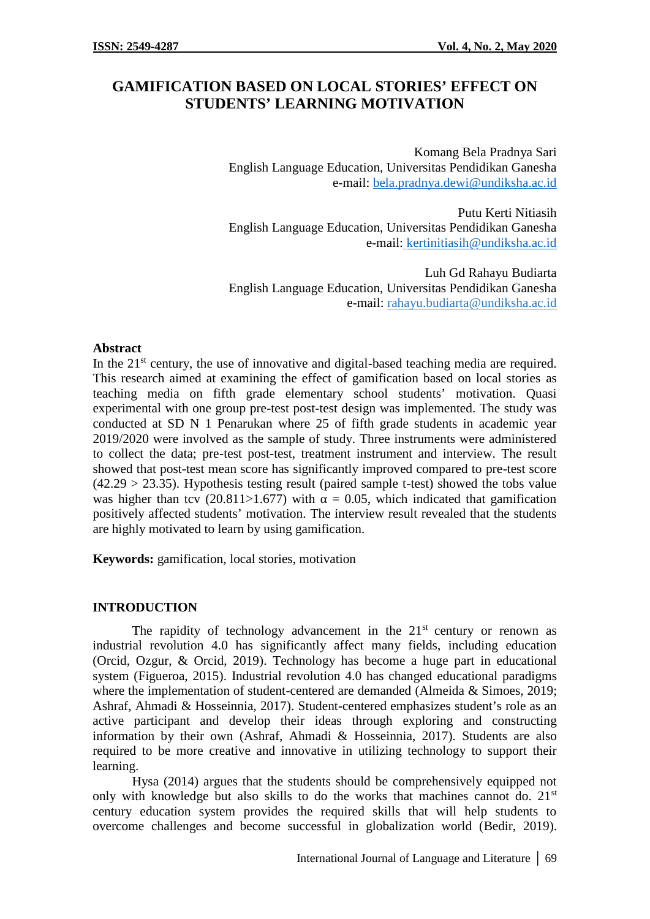# **GAMIFICATION BASED ON LOCAL STORIES' EFFECT ON STUDENTS' LEARNING MOTIVATION**

Komang Bela Pradnya Sari English Language Education, Universitas Pendidikan Ganesha e-mail: bela.pradnya.dewi@undiksha.ac.id

Putu Kerti Nitiasih English Language Education, Universitas Pendidikan Ganesha e-mail: kertinitiasih@undiksha.ac.id

Luh Gd Rahayu Budiarta English Language Education, Universitas Pendidikan Ganesha e-mail: rahayu.budiarta@undiksha.ac.id

### **Abstract**

In the  $21<sup>st</sup>$  century, the use of innovative and digital-based teaching media are required. This research aimed at examining the effect of gamification based on local stories as teaching media on fifth grade elementary school students' motivation. Quasi experimental with one group pre-test post-test design was implemented. The study was conducted at SD N 1 Penarukan where 25 of fifth grade students in academic year 2019/2020 were involved as the sample of study. Three instruments were administered to collect the data; pre-test post-test, treatment instrument and interview. The result showed that post-test mean score has significantly improved compared to pre-test score  $(42.29 > 23.35)$ . Hypothesis testing result (paired sample t-test) showed the tobs value was higher than tcv (20.811>1.677) with  $= 0.05$ , which indicated that gamification positively affected students' motivation. The interview result revealed that the students are highly motivated to learn by using gamification.

**Keywords:** gamification, local stories, motivation

### **INTRODUCTION**

The rapidity of technology advancement in the  $21<sup>st</sup>$  century or renown as industrial revolution 4.0 has significantly affect many fields, including education (Orcid, Ozgur, & Orcid, 2019). Technology has become a huge part in educational system (Figueroa, 2015). Industrial revolution 4.0 has changed educational paradigms where the implementation of student-centered are demanded (Almeida & Simoes, 2019; Ashraf, Ahmadi & Hosseinnia, 2017). Student-centered emphasizes student's role as an active participant and develop their ideas through exploring and constructing information by their own (Ashraf, Ahmadi & Hosseinnia, 2017). Students are also required to be more creative and innovative in utilizing technology to support their learning.

Hysa (2014) argues that the students should be comprehensively equipped not only with knowledge but also skills to do the works that machines cannot do. 21<sup>st</sup> century education system provides the required skills that will help students to overcome challenges and become successful in globalization world (Bedir, 2019).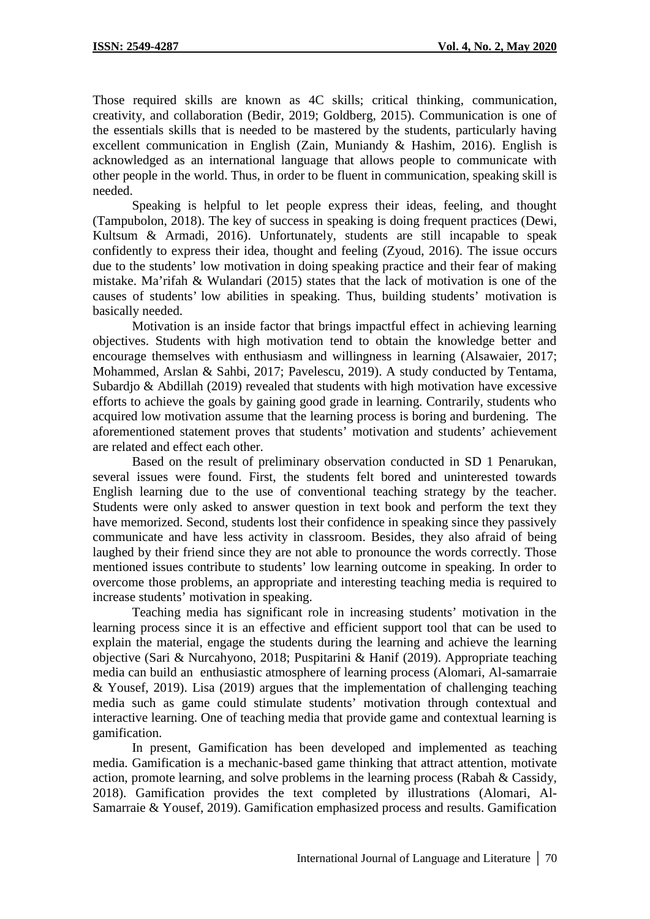Those required skills are known as 4C skills; critical thinking, communication, creativity, and collaboration (Bedir, 2019; Goldberg, 2015). Communication is one of the essentials skills that is needed to be mastered by the students, particularly having excellent communication in English (Zain, Muniandy & Hashim, 2016). English is acknowledged as an international language that allows people to communicate with other people in the world. Thus, in order to be fluent in communication, speaking skill is needed.

Speaking is helpful to let people express their ideas, feeling, and thought (Tampubolon, 2018). The key of success in speaking is doing frequent practices (Dewi, Kultsum & Armadi, 2016). Unfortunately, students are still incapable to speak confidently to express their idea, thought and feeling (Zyoud, 2016). The issue occurs due to the students' low motivation in doing speaking practice and their fear of making mistake. Ma'rifah & Wulandari (2015) states that the lack of motivation is one of the causes of students' low abilities in speaking. Thus, building students' motivation is basically needed.

Motivation is an inside factor that brings impactful effect in achieving learning objectives. Students with high motivation tend to obtain the knowledge better and encourage themselves with enthusiasm and willingness in learning (Alsawaier, 2017; Mohammed, Arslan & Sahbi, 2017; Pavelescu, 2019). A study conducted by Tentama, Subardjo & Abdillah (2019) revealed that students with high motivation have excessive efforts to achieve the goals by gaining good grade in learning. Contrarily, students who acquired low motivation assume that the learning process is boring and burdening. The aforementioned statement proves that students' motivation and students' achievement are related and effect each other.

Based on the result of preliminary observation conducted in SD 1 Penarukan, several issues were found. First, the students felt bored and uninterested towards English learning due to the use of conventional teaching strategy by the teacher. Students were only asked to answer question in text book and perform the text they have memorized. Second, students lost their confidence in speaking since they passively communicate and have less activity in classroom. Besides, they also afraid of being laughed by their friend since they are not able to pronounce the words correctly. Those mentioned issues contribute to students' low learning outcome in speaking. In order to overcome those problems, an appropriate and interesting teaching media is required to increase students' motivation in speaking.

Teaching media has significant role in increasing students' motivation in the learning process since it is an effective and efficient support tool that can be used to explain the material, engage the students during the learning and achieve the learning objective (Sari & Nurcahyono, 2018; Puspitarini & Hanif (2019). Appropriate teaching media can build an enthusiastic atmosphere of learning process (Alomari, Al-samarraie & Yousef, 2019). Lisa (2019) argues that the implementation of challenging teaching media such as game could stimulate students' motivation through contextual and interactive learning. One of teaching media that provide game and contextual learning is gamification.

In present, Gamification has been developed and implemented as teaching media. Gamification is a mechanic-based game thinking that attract attention, motivate action, promote learning, and solve problems in the learning process (Rabah & Cassidy, 2018). Gamification provides the text completed by illustrations (Alomari, Al- Samarraie & Yousef, 2019). Gamification emphasized process and results. Gamification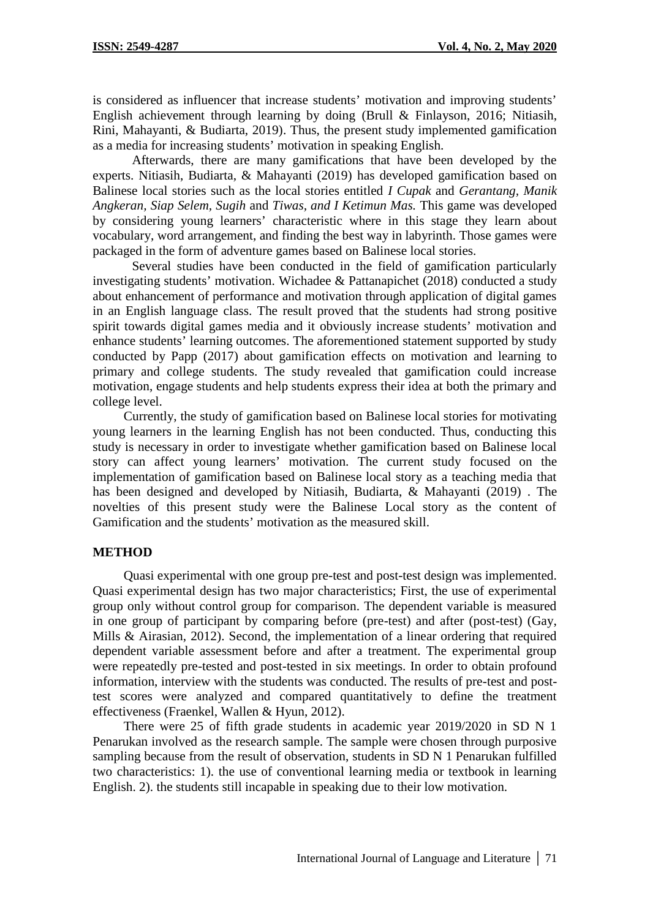is considered as influencer that increase students' motivation and improving students' English achievement through learning by doing (Brull & Finlayson, 2016; Nitiasih, Rini, Mahayanti, & Budiarta, 2019). Thus, the present study implemented gamification as a media for increasing students' motivation in speaking English.

Afterwards, there are many gamifications that have been developed by the experts. Nitiasih, Budiarta, & Mahayanti (2019) has developed gamification based on Balinese local stories such as the local stories entitled *I Cupak* and *Gerantang, Manik Angkeran, Siap Selem, Sugih* and *Tiwas, and I Ketimun Mas.* This game was developed by considering young learners' characteristic where in this stage they learn about vocabulary, word arrangement, and finding the best way in labyrinth. Those games were packaged in the form of adventure games based on Balinese local stories.

Several studies have been conducted in the field of gamification particularly investigating students' motivation. Wichadee & Pattanapichet (2018) conducted a study about enhancement of performance and motivation through application of digital games in an English language class. The result proved that the students had strong positive spirit towards digital games media and it obviously increase students' motivation and enhance students' learning outcomes. The aforementioned statement supported by study conducted by Papp (2017) about gamification effects on motivation and learning to primary and college students. The study revealed that gamification could increase motivation, engage students and help students express their idea at both the primary and college level.

Currently, the study of gamification based on Balinese local stories for motivating young learners in the learning English has not been conducted. Thus, conducting this study is necessary in order to investigate whether gamification based on Balinese local story can affect young learners' motivation. The current study focused on the implementation of gamification based on Balinese local story as a teaching media that has been designed and developed by Nitiasih, Budiarta, & Mahayanti (2019) . The novelties of this present study were the Balinese Local story as the content of Gamification and the students' motivation as the measured skill.

#### **METHOD**

Quasi experimental with one group pre-test and post-test design was implemented. Quasi experimental design has two major characteristics; First, the use of experimental group only without control group for comparison. The dependent variable is measured in one group of participant by comparing before (pre-test) and after (post-test) (Gay, Mills & Airasian, 2012). Second, the implementation of a linear ordering that required dependent variable assessment before and after a treatment. The experimental group were repeatedly pre-tested and post-tested in six meetings. In order to obtain profound information, interview with the students was conducted. The results of pre-test and posttest scores were analyzed and compared quantitatively to define the treatment effectiveness (Fraenkel, Wallen & Hyun, 2012).

There were 25 of fifth grade students in academic year 2019/2020 in SD N 1 Penarukan involved as the research sample. The sample were chosen through purposive sampling because from the result of observation, students in SD N 1 Penarukan fulfilled two characteristics: 1). the use of conventional learning media or textbook in learning English. 2). the students still incapable in speaking due to their low motivation.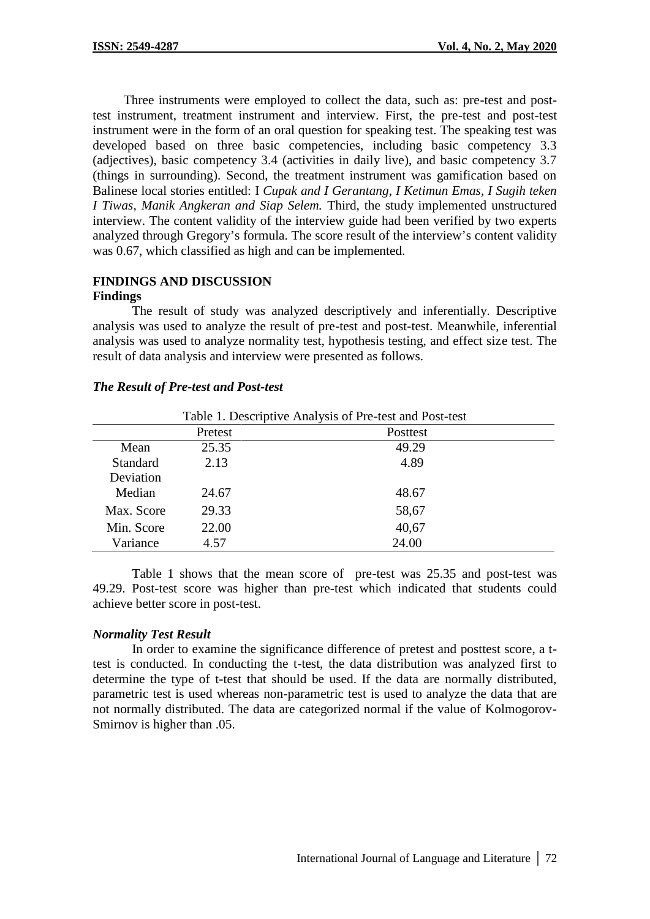Three instruments were employed to collect the data, such as: pre-test and posttest instrument, treatment instrument and interview. First, the pre-test and post-test instrument were in the form of an oral question for speaking test. The speaking test was developed based on three basic competencies, including basic competency 3.3 (adjectives), basic competency 3.4 (activities in daily live), and basic competency 3.7 (things in surrounding). Second, the treatment instrument was gamification based on Balinese local stories entitled: I *Cupak and I Gerantang, I Ketimun Emas, I Sugih teken I Tiwas, Manik Angkeran and Siap Selem.* Third, the study implemented unstructured interview. The content validity of the interview guide had been verified by two experts analyzed through Gregory's formula. The score result of the interview's content validity was 0.67, which classified as high and can be implemented.

#### **FINDINGS AND DISCUSSION Findings**

*The Result of Pre-test and Post-test*

The result of study was analyzed descriptively and inferentially. Descriptive analysis was used to analyze the result of pre-test and post-test. Meanwhile, inferential analysis was used to analyze normality test, hypothesis testing, and effect size test. The result of data analysis and interview were presented as follows.

|  |  | Table 1 Descriptive Analysis of |  |
|--|--|---------------------------------|--|

|                 |         | Table 1. Descriptive Analysis of Pre-test and Post-test |  |
|-----------------|---------|---------------------------------------------------------|--|
|                 | Pretest | Posttest                                                |  |
| Mean            | 25.35   | 49.29                                                   |  |
| <b>Standard</b> | 2.13    | 4.89                                                    |  |
| Deviation       |         |                                                         |  |
| Median          | 24.67   | 48.67                                                   |  |
| Max. Score      | 29.33   | 58,67                                                   |  |
| Min. Score      | 22.00   | 40,67                                                   |  |
| Variance        | 4.57    | 24.00                                                   |  |

Table 1 shows that the mean score of pre-test was 25.35 and post-test was 49.29. Post-test score was higher than pre-test which indicated that students could achieve better score in post-test.

## *Normality Test Result*

In order to examine the significance difference of pretest and posttest score, a ttest is conducted. In conducting the t-test, the data distribution was analyzed first to determine the type of t-test that should be used. If the data are normally distributed, parametric test is used whereas non-parametric test is used to analyze the data that are not normally distributed. The data are categorized normal if the value of Kolmogorov- Smirnov is higher than .05.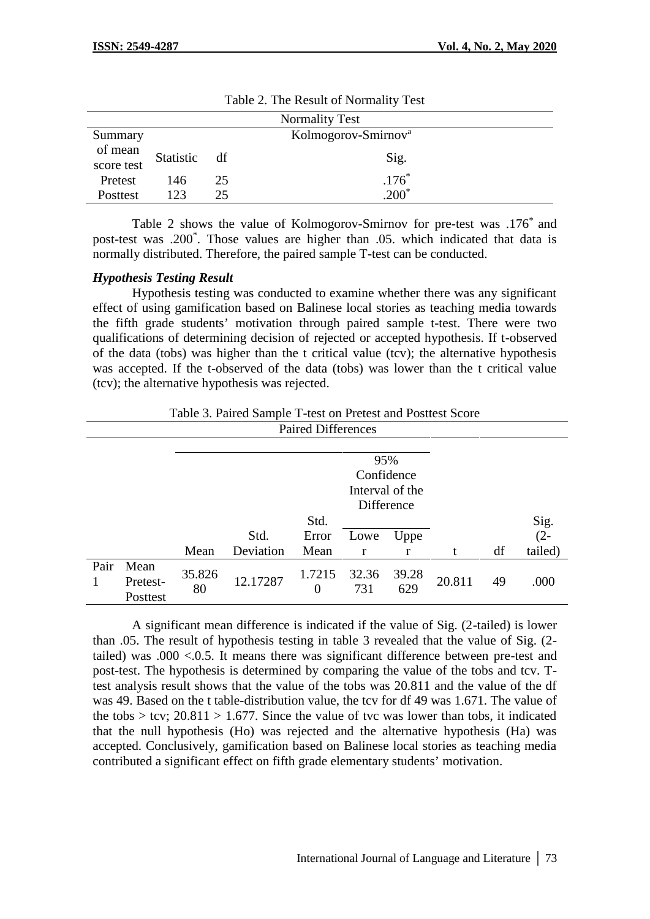| <b>Normality Test</b> |           |    |                                 |  |  |
|-----------------------|-----------|----|---------------------------------|--|--|
| Summary               |           |    | Kolmogorov-Smirnov <sup>a</sup> |  |  |
| of mean<br>score test | Statistic | df | Sig.                            |  |  |
| Pretest               | 146       | 25 | $.176*$                         |  |  |
| Posttest              | 123       | 25 | $1200^*$                        |  |  |

Table 2 shows the value of Kolmogorov-Smirnov for pre-test was .176\* and post-test was .200\* . Those values are higher than .05. which indicated that data is normally distributed. Therefore, the paired sample T-test can be conducted.

### *Hypothesis Testing Result*

Hypothesis testing was conducted to examine whether there was any significant effect of using gamification based on Balinese local stories as teaching media towards the fifth grade students' motivation through paired sample t-test. There were two qualifications of determining decision of rejected or accepted hypothesis. If t-observed of the data (tobs) was higher than the t critical value (tcv); the alternative hypothesis was accepted. If the t-observed of the data (tobs) was lower than the t critical value (tcv); the alternative hypothesis was rejected.

Table 3. Paired Sample T-test on Pretest and Posttest Score

| <b>Paired Differences</b> |                              |              |                                                    |                       |              |              |        |    |                       |
|---------------------------|------------------------------|--------------|----------------------------------------------------|-----------------------|--------------|--------------|--------|----|-----------------------|
|                           |                              |              | 95%<br>Confidence<br>Interval of the<br>Difference |                       |              |              |        |    |                       |
|                           |                              | Mean         | Std.<br>Deviation                                  | Std.<br>Error<br>Mean | Lowe<br>r    | Uppe<br>r    |        | df | Sig. $(2-$<br>tailed) |
| Pair                      | Mean<br>Pretest-<br>Posttest | 35.826<br>80 | 12.17287                                           | 1.7215<br>$\theta$    | 32.36<br>731 | 39.28<br>629 | 20.811 | 49 | .000                  |

A significant mean difference is indicated if the value of Sig. (2-tailed) is lower than .05. The result of hypothesis testing in table 3 revealed that the value of Sig. (2 tailed) was  $.000 < 0.5$ . It means there was significant difference between pre-test and post-test. The hypothesis is determined by comparing the value of the tobs and tcv. Ttest analysis result shows that the value of the tobs was 20.811 and the value of the df was 49. Based on the t table-distribution value, the tcv for df 49 was 1.671. The value of the tobs  $>$  tcv; 20.811  $>$  1.677. Since the value of tvc was lower than tobs, it indicated that the null hypothesis (Ho) was rejected and the alternative hypothesis (Ha) was accepted. Conclusively, gamification based on Balinese local stories as teaching media contributed a significant effect on fifth grade elementary students' motivation.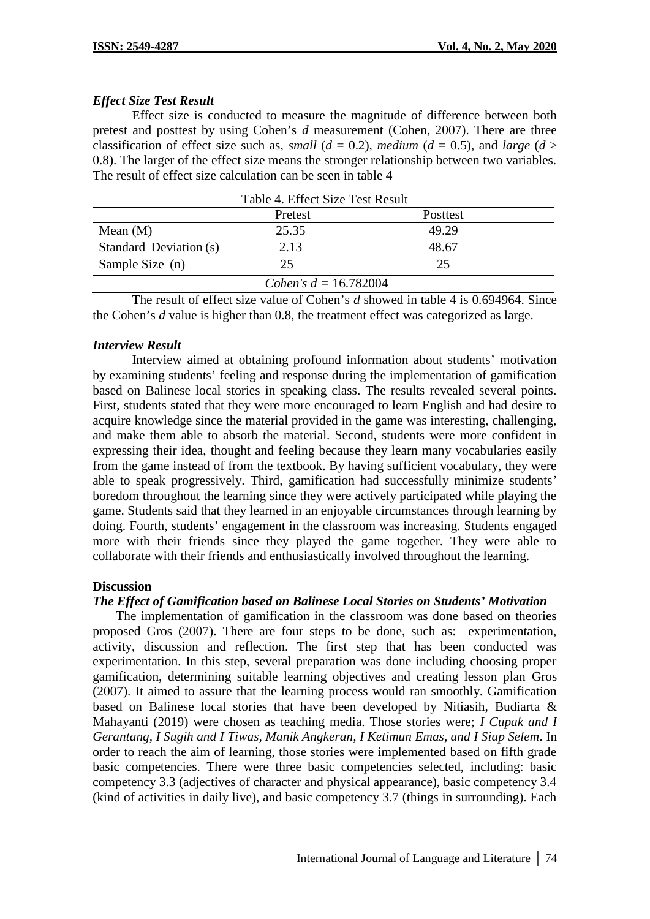### *Effect Size Test Result*

Effect size is conducted to measure the magnitude of difference between both pretest and posttest by using Cohen's *d* measurement (Cohen, 2007). There are three classification of effect size such as, *small* ( $d = 0.2$ ), *medium* ( $d = 0.5$ ), and *large* ( $d$ 0.8). The larger of the effect size means the stronger relationship between two variables. The result of effect size calculation can be seen in table 4

|                        | Table 4. Effect Size Test Result |          |  |
|------------------------|----------------------------------|----------|--|
|                        | Pretest                          | Posttest |  |
| Mean $(M)$             | 25.35                            | 49.29    |  |
| Standard Deviation (s) | 2.13                             | 48.67    |  |
| Sample Size (n)        | 25                               | 25       |  |
|                        | Cohen's $d = 16.782004$          |          |  |

The result of effect size value of Cohen's *d* showed in table 4 is 0.694964. Since the Cohen's *d* value is higher than 0.8, the treatment effect was categorized as large.

### *Interview Result*

Interview aimed at obtaining profound information about students' motivation by examining students' feeling and response during the implementation of gamification based on Balinese local stories in speaking class. The results revealed several points. First, students stated that they were more encouraged to learn English and had desire to acquire knowledge since the material provided in the game was interesting, challenging, and make them able to absorb the material. Second, students were more confident in expressing their idea, thought and feeling because they learn many vocabularies easily from the game instead of from the textbook. By having sufficient vocabulary, they were able to speak progressively. Third, gamification had successfully minimize students' boredom throughout the learning since they were actively participated while playing the game. Students said that they learned in an enjoyable circumstances through learning by doing. Fourth, students' engagement in the classroom was increasing. Students engaged more with their friends since they played the game together. They were able to collaborate with their friends and enthusiastically involved throughout the learning.

### **Discussion**

## *The Effect of Gamification based on Balinese Local Stories on Students' Motivation*

The implementation of gamification in the classroom was done based on theories proposed Gros (2007). There are four steps to be done, such as: experimentation, activity, discussion and reflection. The first step that has been conducted was experimentation. In this step, several preparation was done including choosing proper gamification, determining suitable learning objectives and creating lesson plan Gros (2007). It aimed to assure that the learning process would ran smoothly. Gamification based on Balinese local stories that have been developed by Nitiasih, Budiarta & Mahayanti (2019) were chosen as teaching media. Those stories were; *I Cupak and I Gerantang, I Sugih and I Tiwas, Manik Angkeran, I Ketimun Emas, and I Siap Selem*. In order to reach the aim of learning, those stories were implemented based on fifth grade basic competencies. There were three basic competencies selected, including: basic competency 3.3 (adjectives of character and physical appearance), basic competency 3.4 (kind of activities in daily live), and basic competency 3.7 (things in surrounding). Each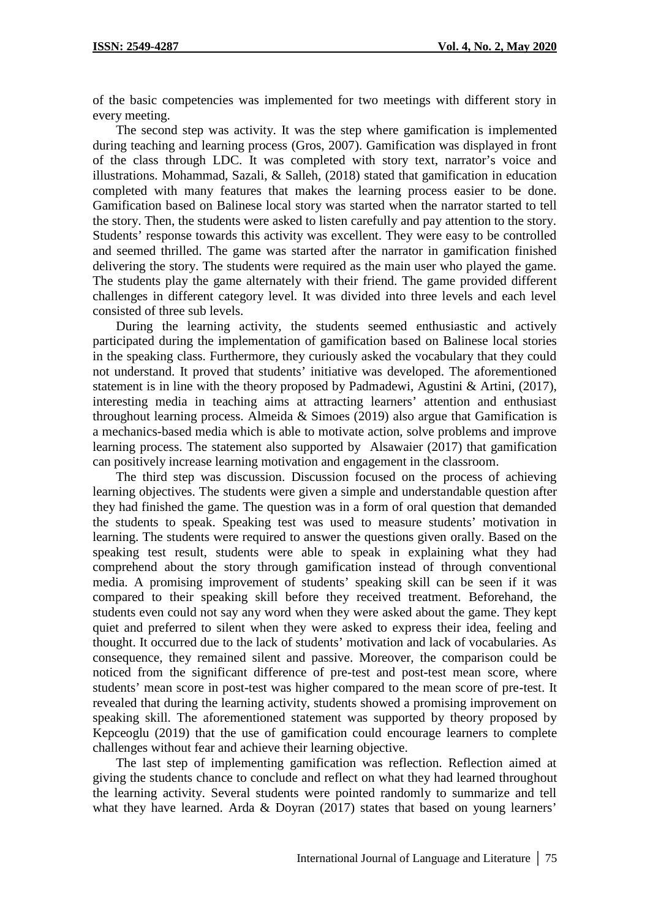of the basic competencies was implemented for two meetings with different story in every meeting.

The second step was activity. It was the step where gamification is implemented during teaching and learning process (Gros, 2007). Gamification was displayed in front of the class through LDC. It was completed with story text, narrator's voice and illustrations. Mohammad, Sazali, & Salleh, (2018) stated that gamification in education completed with many features that makes the learning process easier to be done. Gamification based on Balinese local story was started when the narrator started to tell the story. Then, the students were asked to listen carefully and pay attention to the story. Students' response towards this activity was excellent. They were easy to be controlled and seemed thrilled. The game was started after the narrator in gamification finished delivering the story. The students were required as the main user who played the game. The students play the game alternately with their friend. The game provided different challenges in different category level. It was divided into three levels and each level consisted of three sub levels.

During the learning activity, the students seemed enthusiastic and actively participated during the implementation of gamification based on Balinese local stories in the speaking class. Furthermore, they curiously asked the vocabulary that they could not understand. It proved that students' initiative was developed. The aforementioned statement is in line with the theory proposed by Padmadewi, Agustini & Artini, (2017), interesting media in teaching aims at attracting learners' attention and enthusiast throughout learning process. Almeida & Simoes (2019) also argue that Gamification is a mechanics-based media which is able to motivate action, solve problems and improve learning process. The statement also supported by Alsawaier (2017) that gamification can positively increase learning motivation and engagement in the classroom.

The third step was discussion. Discussion focused on the process of achieving learning objectives. The students were given a simple and understandable question after they had finished the game. The question was in a form of oral question that demanded the students to speak. Speaking test was used to measure students' motivation in learning. The students were required to answer the questions given orally. Based on the speaking test result, students were able to speak in explaining what they had comprehend about the story through gamification instead of through conventional media. A promising improvement of students' speaking skill can be seen if it was compared to their speaking skill before they received treatment. Beforehand, the students even could not say any word when they were asked about the game. They kept quiet and preferred to silent when they were asked to express their idea, feeling and thought. It occurred due to the lack of students' motivation and lack of vocabularies. As consequence, they remained silent and passive. Moreover, the comparison could be noticed from the significant difference of pre-test and post-test mean score, where students' mean score in post-test was higher compared to the mean score of pre-test. It revealed that during the learning activity, students showed a promising improvement on speaking skill. The aforementioned statement was supported by theory proposed by Kepceoglu (2019) that the use of gamification could encourage learners to complete challenges without fear and achieve their learning objective.

The last step of implementing gamification was reflection. Reflection aimed at giving the students chance to conclude and reflect on what they had learned throughout the learning activity. Several students were pointed randomly to summarize and tell what they have learned. Arda & Doyran (2017) states that based on young learners'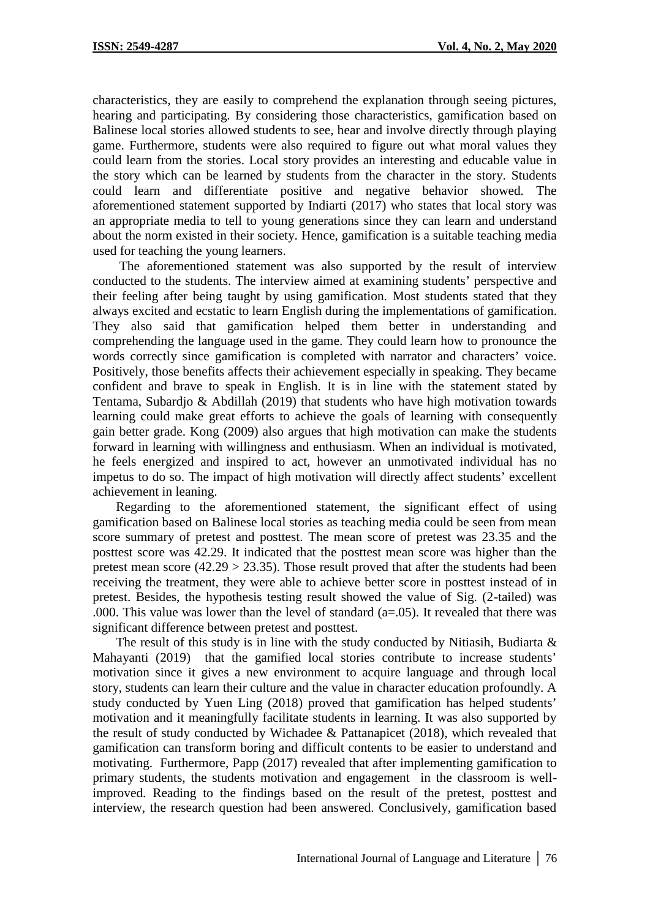characteristics, they are easily to comprehend the explanation through seeing pictures, hearing and participating. By considering those characteristics, gamification based on Balinese local stories allowed students to see, hear and involve directly through playing game. Furthermore, students were also required to figure out what moral values they could learn from the stories. Local story provides an interesting and educable value in the story which can be learned by students from the character in the story. Students could learn and differentiate positive and negative behavior showed. The aforementioned statement supported by Indiarti (2017) who states that local story was an appropriate media to tell to young generations since they can learn and understand about the norm existed in their society. Hence, gamification is a suitable teaching media used for teaching the young learners.

The aforementioned statement was also supported by the result of interview conducted to the students. The interview aimed at examining students' perspective and their feeling after being taught by using gamification. Most students stated that they always excited and ecstatic to learn English during the implementations of gamification. They also said that gamification helped them better in understanding and comprehending the language used in the game. They could learn how to pronounce the words correctly since gamification is completed with narrator and characters' voice. Positively, those benefits affects their achievement especially in speaking. They became confident and brave to speak in English. It is in line with the statement stated by Tentama, Subardjo & Abdillah (2019) that students who have high motivation towards learning could make great efforts to achieve the goals of learning with consequently gain better grade. Kong (2009) also argues that high motivation can make the students forward in learning with willingness and enthusiasm. When an individual is motivated, he feels energized and inspired to act, however an unmotivated individual has no impetus to do so. The impact of high motivation will directly affect students' excellent achievement in leaning.

Regarding to the aforementioned statement, the significant effect of using gamification based on Balinese local stories as teaching media could be seen from mean score summary of pretest and posttest. The mean score of pretest was 23.35 and the posttest score was 42.29. It indicated that the posttest mean score was higher than the pretest mean score  $(42.29 > 23.35)$ . Those result proved that after the students had been receiving the treatment, they were able to achieve better score in posttest instead of in pretest. Besides, the hypothesis testing result showed the value of Sig. (2-tailed) was .000. This value was lower than the level of standard  $(a=0.05)$ . It revealed that there was significant difference between pretest and posttest.

The result of this study is in line with the study conducted by Nitiasih, Budiarta & Mahayanti (2019) that the gamified local stories contribute to increase students' motivation since it gives a new environment to acquire language and through local story, students can learn their culture and the value in character education profoundly. A study conducted by Yuen Ling (2018) proved that gamification has helped students' motivation and it meaningfully facilitate students in learning. It was also supported by the result of study conducted by Wichadee & Pattanapicet (2018), which revealed that gamification can transform boring and difficult contents to be easier to understand and motivating. Furthermore, Papp (2017) revealed that after implementing gamification to primary students, the students motivation and engagement in the classroom is wellimproved. Reading to the findings based on the result of the pretest, posttest and interview, the research question had been answered. Conclusively, gamification based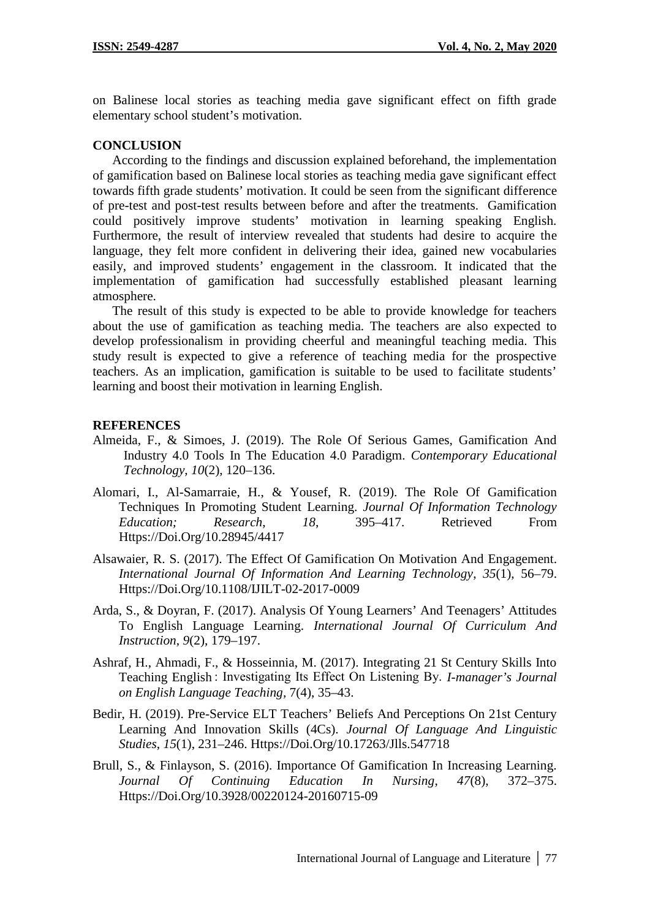on Balinese local stories as teaching media gave significant effect on fifth grade elementary school student's motivation.

### **CONCLUSION**

According to the findings and discussion explained beforehand, the implementation of gamification based on Balinese local stories as teaching media gave significant effect towards fifth grade students' motivation. It could be seen from the significant difference of pre-test and post-test results between before and after the treatments. Gamification could positively improve students' motivation in learning speaking English. Furthermore, the result of interview revealed that students had desire to acquire the language, they felt more confident in delivering their idea, gained new vocabularies easily, and improved students' engagement in the classroom. It indicated that the implementation of gamification had successfully established pleasant learning atmosphere.

The result of this study is expected to be able to provide knowledge for teachers about the use of gamification as teaching media. The teachers are also expected to develop professionalism in providing cheerful and meaningful teaching media. This study result is expected to give a reference of teaching media for the prospective teachers. As an implication, gamification is suitable to be used to facilitate students' learning and boost their motivation in learning English.

### **REFERENCES**

- Almeida, F., & Simoes, J. (2019). The Role Of Serious Games, Gamification And Industry 4.0 Tools In The Education 4.0 Paradigm. *Contemporary Educational Technology*, *10*(2), 120–136.
- Alomari, I., Al-Samarraie, H., & Yousef, R. (2019). The Role Of Gamification Techniques In Promoting Student Learning. *Journal Of Information Technology Education; Research*, *18*, 395–417. Retrieved From Https://Doi.Org/10.28945/4417
- Alsawaier, R. S. (2017). The Effect Of Gamification On Motivation And Engagement. *International Journal Of Information And Learning Technology*, *35*(1), 56–79. Https://Doi.Org/10.1108/IJILT-02-2017-0009
- Arda, S., & Doyran, F. (2017). Analysis Of Young Learners' And Teenagers' Attitudes To English Language Learning. *International Journal Of Curriculum And Instruction*, *9*(2), 179–197.
- Ashraf, H., Ahmadi, F., & Hosseinnia, M. (2017). Integrating 21 St Century Skills Into Teaching English : Investigating Its Effect On Listening By. *I-manager's Journal on English Language Teaching,* 7(4), 35–43.
- Bedir, H. (2019). Pre-Service ELT Teachers' Beliefs And Perceptions On 21st Century Learning And Innovation Skills (4Cs). *Journal Of Language And Linguistic Studies*, *15*(1), 231–246. Https://Doi.Org/10.17263/Jlls.547718
- Brull, S., & Finlayson, S. (2016). Importance Of Gamification In Increasing Learning. *Journal Of Continuing Education In Nursing*, *47*(8), 372–375. Https://Doi.Org/10.3928/00220124-20160715-09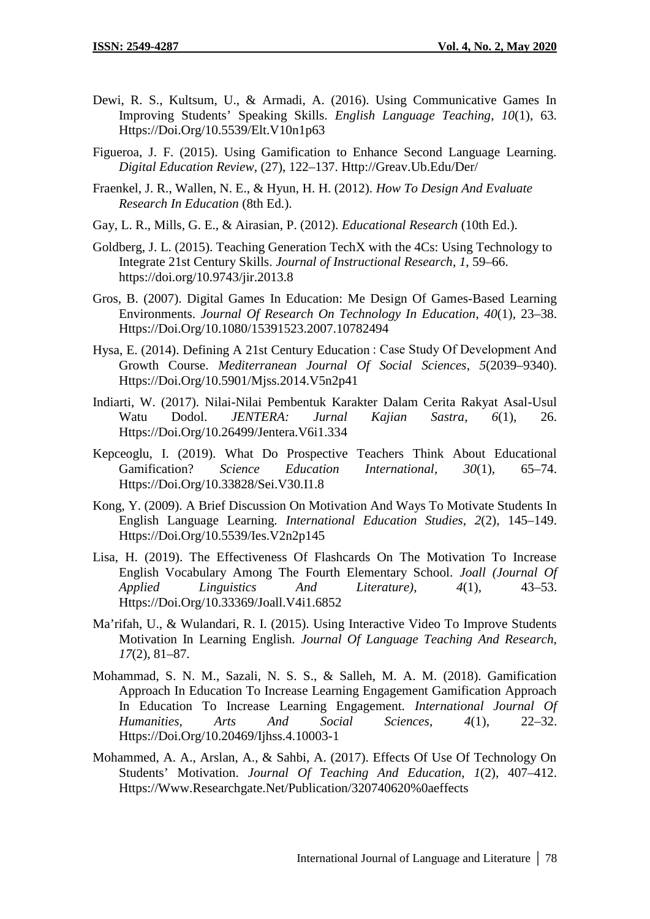- Dewi, R. S., Kultsum, U., & Armadi, A. (2016). Using Communicative Games In Improving Students' Speaking Skills. *English Language Teaching*, *10*(1), 63. Https://Doi.Org/10.5539/Elt.V10n1p63
- Figueroa, J. F. (2015). Using Gamification to Enhance Second Language Learning. *Digital Education Review*, (27), 122–137. Http://Greav.Ub.Edu/Der/
- Fraenkel, J. R., Wallen, N. E., & Hyun, H. H. (2012). *How To Design And Evaluate Research In Education* (8th Ed.).
- Gay, L. R., Mills, G. E., & Airasian, P. (2012). *Educational Research* (10th Ed.).
- Goldberg, J. L. (2015). Teaching Generation TechX with the 4Cs: Using Technology to Integrate 21st Century Skills. *Journal of Instructional Research*, *1*, 59–66. https://doi.org/10.9743/jir.2013.8
- Gros, B. (2007). Digital Games In Education: Me Design Of Games-Based Learning Environments. *Journal Of Research On Technology In Education*, *40*(1), 23–38. Https://Doi.Org/10.1080/15391523.2007.10782494
- Hysa, E. (2014). Defining A 21st Century Education : Case Study Of Development And Growth Course. *Mediterranean Journal Of Social Sciences*, *5*(2039–9340). Https://Doi.Org/10.5901/Mjss.2014.V5n2p41
- Indiarti, W. (2017). Nilai-Nilai Pembentuk Karakter Dalam Cerita Rakyat Asal-Usul Watu Dodol. *JENTERA: Jurnal Kajian Sastra*, *6*(1), 26. Https://Doi.Org/10.26499/Jentera.V6i1.334
- Kepceoglu, I. (2019). What Do Prospective Teachers Think About Educational Gamification? *Science Education International*, *30*(1), 65–74. Https://Doi.Org/10.33828/Sei.V30.I1.8
- Kong, Y. (2009). A Brief Discussion On Motivation And Ways To Motivate Students In English Language Learning. *International Education Studies*, *2*(2), 145–149. Https://Doi.Org/10.5539/Ies.V2n2p145
- Lisa, H. (2019). The Effectiveness Of Flashcards On The Motivation To Increase English Vocabulary Among The Fourth Elementary School. *Joall (Journal Of Applied Linguistics And Literature)*, *4*(1), 43–53. Https://Doi.Org/10.33369/Joall.V4i1.6852
- Ma'rifah, U., & Wulandari, R. I. (2015). Using Interactive Video To Improve Students Motivation In Learning English. *Journal Of Language Teaching And Research*, *17*(2), 81–87.
- Mohammad, S. N. M., Sazali, N. S. S., & Salleh, M. A. M. (2018). Gamification Approach In Education To Increase Learning Engagement Gamification Approach In Education To Increase Learning Engagement. *International Journal Of Humanities, Arts And Social Sciences*, *4*(1), 22–32. Https://Doi.Org/10.20469/Ijhss.4.10003-1
- Mohammed, A. A., Arslan, A., & Sahbi, A. (2017). Effects Of Use Of Technology On Students' Motivation. *Journal Of Teaching And Education*, *1*(2), 407–412. Https://Www.Researchgate.Net/Publication/320740620%0aeffects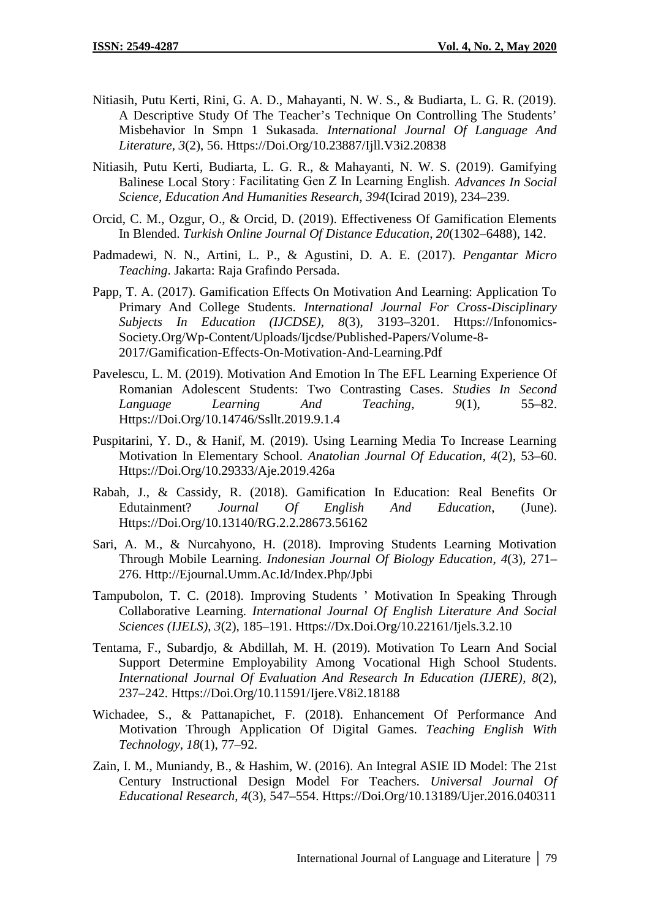- Nitiasih, Putu Kerti, Rini, G. A. D., Mahayanti, N. W. S., & Budiarta, L. G. R. (2019). A Descriptive Study Of The Teacher's Technique On Controlling The Students' Misbehavior In Smpn 1 Sukasada. *International Journal Of Language And Literature*, *3*(2), 56. Https://Doi.Org/10.23887/Ijll.V3i2.20838
- Nitiasih, Putu Kerti, Budiarta, L. G. R., & Mahayanti, N. W. S. (2019). Gamifying Balinese Local Story : Facilitating Gen Z In Learning English. *Advances In Social Science, Education And Humanities Research*, *394*(Icirad 2019), 234–239.
- Orcid, C. M., Ozgur, O., & Orcid, D. (2019). Effectiveness Of Gamification Elements In Blended. *Turkish Online Journal Of Distance Education*, *20*(1302–6488), 142.
- Padmadewi, N. N., Artini, L. P., & Agustini, D. A. E. (2017). *Pengantar Micro Teaching*. Jakarta: Raja Grafindo Persada.
- Papp, T. A. (2017). Gamification Effects On Motivation And Learning: Application To Primary And College Students. *International Journal For Cross-Disciplinary Subjects In Education (IJCDSE)*, *8*(3), 3193–3201. Https://Infonomics- Society.Org/Wp-Content/Uploads/Ijcdse/Published-Papers/Volume-8- 2017/Gamification-Effects-On-Motivation-And-Learning.Pdf
- Pavelescu, L. M. (2019). Motivation And Emotion In The EFL Learning Experience Of Romanian Adolescent Students: Two Contrasting Cases. *Studies In Second Language Learning And Teaching*, *9*(1), 55–82. Https://Doi.Org/10.14746/Ssllt.2019.9.1.4
- Puspitarini, Y. D., & Hanif, M. (2019). Using Learning Media To Increase Learning Motivation In Elementary School. *Anatolian Journal Of Education*, *4*(2), 53–60. Https://Doi.Org/10.29333/Aje.2019.426a
- Rabah, J., & Cassidy, R. (2018). Gamification In Education: Real Benefits Or Edutainment? *Journal Of English And Education*, (June). Https://Doi.Org/10.13140/RG.2.2.28673.56162
- Sari, A. M., & Nurcahyono, H. (2018). Improving Students Learning Motivation Through Mobile Learning. *Indonesian Journal Of Biology Education*, *4*(3), 271– 276. Http://Ejournal.Umm.Ac.Id/Index.Php/Jpbi
- Tampubolon, T. C. (2018). Improving Students ' Motivation In Speaking Through Collaborative Learning. *International Journal Of English Literature And Social Sciences (IJELS)*, *3*(2), 185–191. Https://Dx.Doi.Org/10.22161/Ijels.3.2.10
- Tentama, F., Subardjo, & Abdillah, M. H. (2019). Motivation To Learn And Social Support Determine Employability Among Vocational High School Students. *International Journal Of Evaluation And Research In Education (IJERE)*, *8*(2), 237–242. Https://Doi.Org/10.11591/Ijere.V8i2.18188
- Wichadee, S., & Pattanapichet, F. (2018). Enhancement Of Performance And Motivation Through Application Of Digital Games. *Teaching English With Technology*, *18*(1), 77–92.
- Zain, I. M., Muniandy, B., & Hashim, W. (2016). An Integral ASIE ID Model: The 21st Century Instructional Design Model For Teachers. *Universal Journal Of Educational Research*, *4*(3), 547–554. Https://Doi.Org/10.13189/Ujer.2016.040311